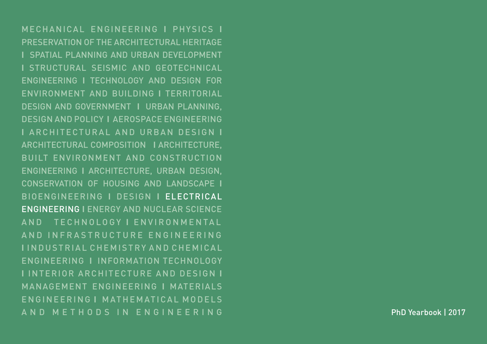MECHANICAL ENGINEERING **I** PHYSICS **I** PRESERVATION OF THE ARCHITECTURAL HERITAGE **I** SPATIAL PLANNING AND URBAN DEVELOPMENT **I** STRUCTURAL SEISMIC AND GEOTECHNICAL ENGINEERING **I** TECHNOLOGY AND DESIGN FOR ENVIRONMENT AND BUILDING **I** TERRITORIAL DESIGN AND GOVERNMENT **I** URBAN PLANNING, DESIGN AND POLICY **I** AEROSPACE ENGINEERING **I** ARCHITECTURAL AND URBAN DESIGN **I** ARCHITECTURAL COMPOSITION **I** ARCHITECTURE, BUILT ENVIRONMENT AND CONSTRUCTION ENGINEERING **I** ARCHITECTURE, URBAN DESIGN, CONSERVATION OF HOUSING AND LANDSCAPE **I** BIOENGINEERING **I** DESIGN **I** ELECTRICAL ENGINEERING **I** ENERGY AND NUCLEAR SCIENCE AND TECHNOLOGY **I** E N V I R O N M E N TA L A N D I N F R A S T R U C T U R E E N G I N E E R I N G **I** I N D U S T R I A L C H E M I S T R Y A N D C H E M I C A L ENGINEERING **I** INFORMATION TECHNOLOGY **I** INTERIOR ARCHITECTURE AND DESIGN **I** MANAGEMENT ENGINEERING **I** MATERIALS ENGINEERING I MATHEMATICAL MODELS AND METHODS IN ENGINEERING

PhD Yearbook | 2017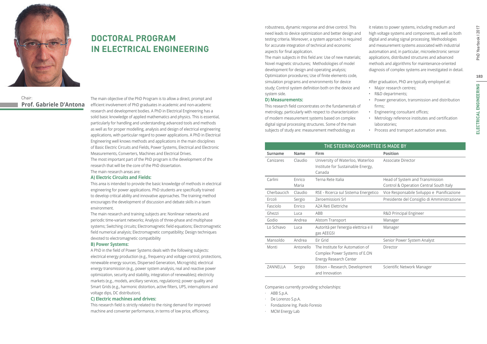

# **DOCTORAL PROGRAM IN ELECTRICAL ENGINEERING**

Chair: **Prof. Gabriele D'Antona**

The main objective of the PhD Program is to allow a direct, prompt and efficient involvement of PhD graduates in academic and non-academic research and development bodies. A PhD in Electrical Engineering has a solid basic knowledge of applied mathematics and physics. This is essential, particularly for handling and understanding advanced tools and methods as well as for proper modelling, analysis and design of electrical engineering applications, with particular regard to power applications. A PhD in Electrical Engineering well knows methods and applications in the main disciplines of Basic Electric Circuits and Fields, Power Systems, Electrical and Electronic Measurements, Converters, Machines and Electrical Drives. The most important part of the PhD program is the development of the

research that will be the core of the PhD dissertation.

## The main research areas are:

#### **A) Electric Circuits and Fields:**

This area is intended to provide the basic knowledge of methods in electrical engineering for power applications. PhD students are specifically trained to develop critical ability and innovative approaches. The training method encourages the development of discussion and debate skills in a team environment.

The main research and training subjects are: Nonlinear networks and periodic time-variant networks; Analysis of three-phase and multiphase systems; Switching circuits; Electromagnetic field equations; Electromagnetic field numerical analysis; Electromagnetic compatibility; Design techniques devoted to electromagnetic compatibility

#### **B) Power Systems:**

A PhD in the field of Power Systems deals with the following subjects: electrical energy production (e.g., frequency and voltage control, protections, renewable energy sources, Dispersed Generation, Microgrids); electrical energy transmission (e.g., power system analysis, real and reactive power optimization, security and stability, integration of renewables); electricity markets (e.g., models, ancillary services, regulations); power quality and Smart Grids (e.g., harmonic distortion, active filters, UPS, interruptions and voltage dips, DC distribution).

#### **C) Electric machines and drives:**

This research field is strictly related to the rising demand for improved machine and converter performance, in terms of low price, efficiency,

robustness, dynamic response and drive control. This need leads to device optimization and better design and testing criteria. Moreover, a system approach is required for accurate integration of technical and economic aspects for final application.

The main subjects in this field are: Use of new materials; Novel magnetic structures; Methodologies of model development for design and operating analysis; Optimization procedures; Use of finite elements code, simulation programs and environments for device study; Control system definition both on the device and system side.

#### **D) Measurements:**

This research field concentrates on the fundamentals of metrology, particularly with respect to characterization of modern measurement systems based on complex digital signal processing structures. Some of the main subjects of study are: measurement methodology as

it relates to power systems, including medium and high voltage systems and components, as well as both digital and analog signal processing. Methodologies and measurement systems associated with industrial automation and, in particular, microelectronic sensor applications, distributed structures and advanced methods and algorithms for maintenance-oriented diagnosis of complex systems are investigated in detail.

After graduation, PhD are typically employed at:

- Major research centres;
- R&D departments;
- Power generation, transmission and distribution firms:
- Engineering consultant offices;
- Metrology reference institutes and certification laboratories;
- Process and transport automation areas.

| THE STEERING COMMITTEE IS MADE BY |                |                                                                       |                                             |  |  |
|-----------------------------------|----------------|-----------------------------------------------------------------------|---------------------------------------------|--|--|
| Surname                           | <b>Name</b>    | Firm                                                                  | <b>Position</b>                             |  |  |
| Canizares                         | Claudio        | University of Waterloo, Waterloo<br>Institute for Sustainable Energy, | Associate Director                          |  |  |
|                                   |                | Canada                                                                |                                             |  |  |
| Carlini                           | <b>F</b> nrico | Terna Rete Italia                                                     | Head of System and Transmission             |  |  |
|                                   | Maria          |                                                                       | Control & Operation Central South Italy     |  |  |
| Cherbaucich                       | Claudio        | RSE - Ricerca sul Sistema Energetico                                  | Vice Responsabile Sviluppo e Pianificazione |  |  |
| Ercoli                            | Sergio         | Zeroemissioni Srl                                                     | Presidente del Consiglio di Amministrazione |  |  |
| Fasciolo                          | Enrico         | A2A Reti Elettriche                                                   |                                             |  |  |
| Ghezzi                            | Luca           | ABB                                                                   | R&D Principal Engineer                      |  |  |
| Godio                             | Andrea         | Alstom Transport                                                      | Manager                                     |  |  |
| Lo Schiavo                        | Luca           | Autorità per l'energia elettrica e il<br>gas AEEGSI                   | Manager                                     |  |  |
| Mansoldo                          | Andrea         | Eir Grid                                                              | Senior Power System Analyst                 |  |  |
| Monti                             | Antonello      | The Institute for Automation of                                       | Director                                    |  |  |
|                                   |                | Complex Power Systems of E.ON                                         |                                             |  |  |
|                                   |                | Energy Research Center                                                |                                             |  |  |
| ZANNELLA                          | Sergio         | Edison - Research, Development                                        | Scientific Network Manager                  |  |  |
|                                   |                | and Innovation                                                        |                                             |  |  |

Companies currently providing scholarships:

- · ABB S.p.A.
	- · De Lorenzo S.p.A.
	- · Fondazione Ing. Paolo Foresio
	- · MCM Energy Lab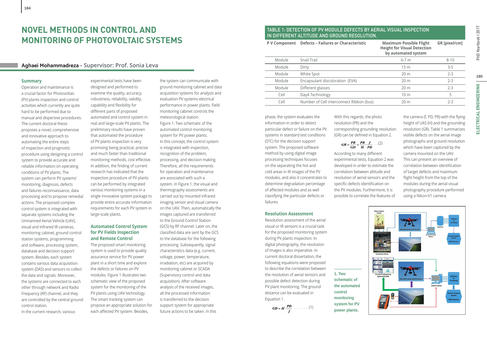# **NOVEL METHODS IN CONTROL AND MONITORING OF PHOTOVOLTAIC SYSTEMS**

### **Aghaei Mohammadreza – Supervisor: Prof. Sonia Leva**

#### **Summary**

Operation and maintenance is a crucial factor for Photovoltaic (PV) plants inspection and control activities which currently are quite hard to be performed due to manual and dispersive procedures. The current doctoral thesis proposes a novel, comprehensive and innovative approach to automating the entire steps of inspection and prognostic procedure using designing a control system to provide accurate and reliable information on operating conditions of PV plants. The system can perform PV systems' monitoring, diagnosis, defects and failures reconnaissance, data processing and to propose remedial actions. The proposed complex control system is integrated with separate systems including the Unmanned Aerial Vehicle (UAV), visual and Infrared IR cameras, monitoring cabinet, ground control station systems, programming and software, processing system, database and decision support system. Besides, each system contains various data acquisition system (DAS) and sensors to collect the data and signals. Moreover, the systems are connected to each other through network and Radio Frequency (RF) channel, and they are controlled by the central ground control station.

In the current research, various

experimental tests have been designed and performed to examine the quality, accuracy, robustness, reliability, validity, capability and flexibility for different parts of proposed automated and control system in real and large-scale PV plants. The preliminary results have proven that automated the procedure of PV plants inspection is very promising being practical, precise and much faster than traditional monitoring methods, cost effective. In addition, the finding of current research has indicated that the inspection procedure of PV plants can be performed by integrated various monitoring systems in a single innovative system package to provide entire accurate information requirements for each PV system in large-scale plants.

#### **Automated Control System for PV Fields Inspection and Remote Control**

The proposed smart monitoring system is used to provide quality assurance service for PV power plant in a short time and explore the defects or failures on PV modules. Figure 1 illustrates two schematic view of the proposed system for the monitoring of the PV plants using UAV technology. The smart tracking system can propose an appropriate solution for each affected PV system. Besides,

the system can communicate with ground monitoring cabinet and data acquisition systems for analysis and evaluation PV systems electrical performance in power plants. Field monitoring cabinet controls the meteorological station. Figure 1: Two schematic of the automated control monitoring system for PV power plants. In this concept, the control system is integrated with inspection, recognition of the problem, processing, and decision making. Therefore, all the requirements for operation and maintenance are associated with such a system. In Figure 1, the visual and thermography assessments are carried out by mounted infrared imaging sensor and visual camera on the UAV. Then, automatically the images captured are transferred to the Ground Control Station (GCS) by RF channel. Later on, the classified data are sent by the GCS to the database for the following processing. Subsequently, signal characteristics data (e.g. current, voltage, power, temperature, irradiation, etc) are acquired by monitoring cabinet or SCADA (Supervisory control and data acquisition). After software analysis of the received images, all the processed information is transferred to the decision support system for appropriate future actions to be taken. In this

### TABLE 1: DETECTION OF PV MODULE DEFECTS BY AERIAL VISUAL INSPECTION IN DIFFERENT ALTITUDE AND GROUND RESOLUTION.

| <b>P V Component</b> | <b>Defects - Failures or Characteristic</b> | <b>Maximum Possible Flight</b><br><b>Height for Visual Detection</b><br>by automated system | <b>GR</b> [pixel/cm] |
|----------------------|---------------------------------------------|---------------------------------------------------------------------------------------------|----------------------|
| Module               | Snail Trail                                 | $6-7m$                                                                                      | $8 - 10$             |
| Module               | Dirty                                       | 15 <sub>m</sub>                                                                             | $3 - 5$              |
| Module               | White Spot                                  | 20 <sub>m</sub>                                                                             | $2 - 3$              |
| Module               | Encapsulant discoloration (EVA)             | 20 <sub>m</sub>                                                                             | $2 - 3$              |
| Module               | Different glasses                           | 20 <sub>m</sub>                                                                             | $2 - 3$              |
| Cell                 | Day4 Technology                             | 10 <sub>m</sub>                                                                             | 5                    |
| Cell                 | Number of Cell interconnect Ribbon (bus)    | 20 <sub>m</sub>                                                                             | $2 - 3$              |

phase, the system evaluates the information in order to detect particular defect or failure on the PV systems in standard test conditions (STC) for the decision support system. The proposed software method by using digital image processing techniques focuses on the separating the hot and cold areas in IR images of the PV modules, and also it concentrates to determine degradation percentage of affected modules and as well classifying the particular defects or failures.

#### **Resolution Assessment**

Resolution assessment of the aerial visual or IR sensors is a crucial task for the proposed monitoring system during PV plants inspection. In digital photography, the resolution of images is also imperative. In current doctoral dissertation, the following equations were proposed to describe the correlation between the resolution of aerial sensors and possible defect detection during PV plant monitoring. The ground distance can be evaluated in Equation 1.

 $GD = H \cdot \frac{PD}{f}$  (1)

With this regards, the photo resolution (PR) and the corresponding grounding resolution (GR) can be defined in Equation 2.

 $GR = \frac{PR}{GD} = \frac{PR}{H} \cdot \frac{f}{PD}$  - (2)

According to many different experimental tests, Equation 2 was developed in order to estimate the correlation between altitude and resolution of aerial sensors and the specific defects identification on the PV modules. Furthermore, it is possible to correlate the features of

**1. Two schematic of the automated control monitoring system for PV power plants.**

the camera (f, PD, PR) with the flying height of UAS (H) and the grounding resolution (GR). Table 1 summarizes visible defects on the aerial image photographs and ground resolution which have been captured by the camera mounted on the UAV. This can present an overview of correlation between identification of target defects and maximum flight height from the top of the modules during the aerial visual photography procedure performed using a Nikon-V1 camera.

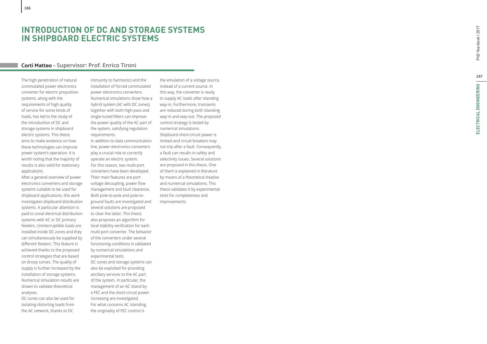# **INTRODUCTION OF DC AND STORAGE SYSTEMS IN SHIPBOARD ELECTRIC SYSTEMS**

## **Corti Matteo – Supervisor: Prof. Enrico Tironi**

The high penetration of natural commutated power electronics converter for electric propulsion systems, along with the requirements of high quality of service for some kinds of loads, has led to the study of the introduction of DC and storage systems in shipboard electric systems. This thesis aims to make evidence on how these technologies can improve power system's operation. It is worth noting that the majority of results is also valid for stationary applications.

After a general overview of power electronics converters and storage systems suitable to be used for shipboard applications, this work investigates shipboard distribution systems. A particular attention is paid to zonal electrical distribution systems with AC or DC primary feeders. Uninterruptible loads are installed inside DC zones and they can simultaneously be supplied by di fferent feeders. This feature is achieved thanks to the proposed control strategies that are based on droop curves. The quality of supply is further increased by the installation of storage systems. Numerical simulation results are shown to validate theoretical analyses.

DC zones can also be used for isolating distorting loads from the AC network, thanks to DC

immunity to harmonics and the installation of forced commutated power electronics converters. Numerical simulations show how a hybrid system (AC with DC zones), together with both high-pass and single-tuned filters can improve the power quality of the AC part of the system, satisfying regulation requirements. In addition to data communication line, power electronics converters play a crucial role to correctly operate an electric system. For this reason, two multi-port converters have been developed. Their main features are port voltage decoupling, power flow management and fault clearance. Both pole-to-pole and pole-toground faults are investigated and several solutions are proposed

to clear the latter. This thesis also proposes an algorithm for local stability veri fication for each multi-port converter. The behavior of the converters under several functioning conditions is validated by numerical simulations and experimental tests.

DC zones and storage systems can also be exploited for providing ancillary services to the AC part of the system. In particular, the management of an AC island by a FEC and the short-circuit power increasing are investigated. For what concerns AC islanding, the originality of FEC control is

the emulation of a voltage source, instead of a current source. In this way, the converter is ready to supply AC loads after islanding way-in. Furthermore, transients are reduced during both islanding way-in and way-out. The proposed control strategy is tested by numerical simulations. Shipboard short-circuit power is limited and circuit breakers may not trip after a fault. Consequently, a fault can results in safety and selectivity issues. Several solutions are proposed in this thesis. One of them is explained in literature by means of a theoretical treatise and numerical simulations. This thesis validates it by experimental tests for completeness and improvements.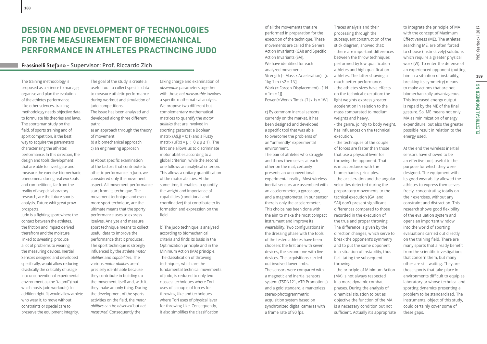### **Frassinelli Stefano – Supervisor: Prof. Riccardo Zich**

The training methodology is proposed as a science to manage, organise and plan the evolution of the athletes performance. Like other sciences, training methodology needs objective data to formulate his theories and laws. The sportsman study on the field, of sports training and of sport competition, is the best way to acquire the parameters characterizing the athletes performance. In this direction, the design and tools development that are able to investigate and measure the exercise biomechanic phenomena during real workouts and competitions, far from the reality of aseptic laboratory research, are the future sports analysis. Future whit great grow prospects.

**188**

Judo is a fighting sport where the contact between the athletes, the friction and impact derived therefrom and the moisture linked to sweating, produce a lot of problems to wearing the measuring devices. Inertial Sensors designed and developed specifically, would allow reducing drastically the criticality of usage into unconventional experimental environment as the "tatami" (mat which hosts judo workouts). In addition right fit would allow athlete who wear it, to move without constraints or special care to preserve the equipment integrity.

The goal of the study is create a useful tool to collect specific data to measure athletic performance during workout and simulation of judo competitions. The issue has been analyzed and developed along three different path:

a) an approach through the theory of movement b) a biomechanical approach c) an engineering approach

a) About specific examination of the factors that contribute to athletic performance in Judo, we considered only the movement aspect. All movement performance start from its technique. The movement technique and even more sport technique, are the ultimate means that the sporty performance uses to express itselves. Analyze and measure sport technique means to collect useful data to improve the performance that it produces. The sport technique is strongly influenced by the athlete *motor abilities* and *capabilities*. The various *motor abilities* aren't precisely identifiable because they contribute in building up the movement itself and, with it, they make an only thing. During the development of the sports activities on the field, the *motor abilities* can be *observed* but *not measured*. Consequently the

taking charge and examination of *observable* parameters together with those *not measurable* involves a specific mathematical analysis. We propose two different but complementary mathematical matrices to quantify the *motor abilities* that are involved in sporting gestures: a Boolean matrix  $(A(i,j) = 0;1)$  and a Fuzzy matrix ( $\mu$ F(x) =  $\mu$ ; 0 ≤  $\mu$  ≤ 1). The first one allows us to discriminate motor abilities according to a global criterion, while the second one follows an analytical criterion. This allows a unitary quantification of the motor abilities. At the same time, it enables to quantify the weight and importance of capabilities (conditional and coordinative) that contribute to its formation and expression on the field.

b) The judo technique is analyzed according to biomechanical criteria and finds its basis in the Optimization principle and in the Minimum Action (MA) principle. The classification of throwing techniques, which are the fundamental technical movements of judo, is reduced to only two classes: techniques where Tori uses of a couple of forces for throwing Uke and techniques where Tori uses of physical lever for throwing Uke. Consequently, it also simplifies the classification

of all the movements that are performed in preparation for the execution of the technique. These movements are called the General Action Invariants (GAI) and Specific Action Invariants (SAI). We have identified for each analyzed movement: Strength (= Mass x Acceleration) - [x  $1 \text{ kg} 1 \text{ m}$  / s2 = 1N] Work (= Force x Displacement) - [1N  $x 1m = 11$ Power (= Work x Time) -  $[1] \times 1s = 1$ W]

c) By commom inertial sensors currently on the market, it has been designed and developed a specific tool that was able to overcome the problems of an "unfriendly" experimental environment.

The pair of athletes who struggle and throw themselves at each other on the mat, certainly presents an unconventional experimental reality. Most wireless inertial sensors are assembled with an accelerometer, a gyroscope, and a magnetometer. In our sensor there is only the accelerometer. This choice has been done with the aim to make the most compact instrument and improve its wearability. Two configurations in the dressing phase with the tools of the tested athletes have been choosen: the first one with seven devices, the second one with five devices. The acquisitions carried out involved lower limbs. The sensors were compared with a magnetic and inertial sensors system (TSDN121, ATR Promotions) and a gold standard, a markerless stereo-photogrammetric acquisition system based on synchronized digital cameras with a frame rate of 90 fps.

Traces analysis and their processing through the subsequent construction of the stick diagram, showed that: - there are important differences between the throw techniques performed by low qualification athletes and high qualification athletes. The latter showing a much better performance. - the athletes sizes have effects on the technical execution: the light weights express greater acceleration in relation to the mass comparated to medium weights and heavy. - the genre, jointly to body weight, has influences on the technical execution. - the techniques of the couple of forces are faster than those

that use a physical lever for throwing the opponent. That is in accordance with the biomechanics principles. - the acceleration and the angular velocities detected during the preparatory movements to the tecnical execution (GAI and SAI) don't present significant differences compared to those recorded in the execution of the true and proper throwing. The difference is given by the direction changes, which serve to break the opponent's symmetry and to put the same opponent in a situation of instability, thus facilitating the subsequent throwing. - the principle of Minimum Action

(MA) is not always respected in a more dynamic combat phases. During the analysis of dinamical situation to put as objective the function of the MA is a necessary condition but not sufficient. Actually it's appropriate to integrate the principle of MA with the concept of Maximum Effectiveness (ME). The athletes, searching ME, are often forced to choose (instinctively) solutions which require a greater physical work (W). To enter the defense of an experienced opponent (putting him in a situation of instability, breaking its symmetry) means to make actions that are not biomechanically advantageous. This increased energy output is repaid by the ME of the final gesture. So, ME means not only MA as minimization of energy expenditure, but also the greater possible result in relation to the energy used.

At the end the wireless inertial sensors have showed to be an effective tool, useful to the purpose for which they were designed. The equipment with its good wearability allowed the athletes to express themselves freely, concentrating totally on their exercises, without any constraint and distraction. This research shows good flexibility of the evaluation system and opens an important window into the world of sporting evaluations carried out directly on the training field. There are many sports that already benefit from the scientific investigations that concern them, but many other are still waiting. They are those sports that take place in environments difficult to equip as laboratory or whose technical and sporting dynamics presenting a problem to be standardized. The instruments, object of this study, could certainly cover some of these gaps.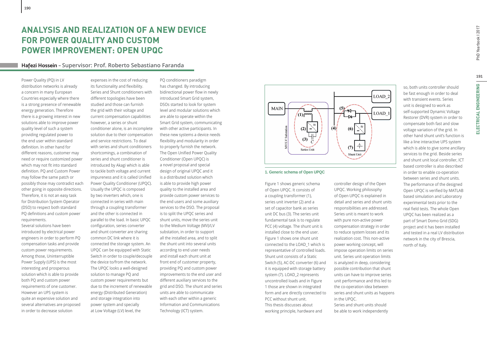## **Hafezi Hossein – Supervisor: Prof. Roberto Sebastiano Faranda**

Power Quality (PQ) in LV distribution networks is already a concern in many European Countries especially where there is a strong presence of renewable energy generation. Therefore there is a growing interest in new solutions able to improve power quality level of such a system providing regulated power to the end user within standard definition. In other hand for different reasons, customer may need or require customized power which may not fit into standard definition. PQ and Custom Power may follow the same patch or possibly those may contradict each other going in opposite directions. Therefore, it is not an easy task for Distribution System Operator (DSO) to respect both standard PQ definitions and custom power requirements.

**190**

Several solutions have been introduced by electrical power engineers in order to perform PQ compensation tasks and provide custom power requirements. Among those, Uninterruptible Power Supply (UPS) is the most interesting and prosperous solution which is able to provide both PQ and custom power requirements of one customer. However an UPS system is quite an expensive solution and several alternatives are proposed in order to decrease solution

expenses in the cost of reducing its functionality and flexibility. Series and Shunt conditioners with different topologies have been studied and those can furnish the grid with their voltage and current compensation capabilities however, a series or shunt conditioner alone, is an incomplete solution due to their compensation and service restrictions. To deal with series and shunt conditioners shortcomings, a combination of series and shunt conditioner is introduced by Akagi which is able to tackle both voltage and current impureness and it is called Unified Power Quality Conditioner (UPQC). Usually the UPQC is composed by two inverters which, one is connected in series with main through a coupling transformer and the other is connected in parallel to the load. In basic UPQC configuration, series converter and shunt converter are sharing common DC link where it is connected the storage system. An UPQC can be equipped with Static Switch in order to couple/decouple the device to/from the network. The UPQC looks a well-designed solution to manage PQ and custom power requirements but due to the increment of renewable energy (Distributed Generation) and storage integration into power system and specially at Low Voltage (LV) level, the

PQ conditioners paradigm has changed. By introducing bidirectional power flow in newly introduced Smart Grid system, DSOs started to look for system level and modular solutions which are able to operate within the Smart Grid system, communicating with other active participants. In these new systems a device needs flexibility and modularity in order to properly furnish the network. The Open Unified Power Quality Conditioner (Open UPQC) is a novel proposal and special design of original UPQC and it is a distributed solution which is able to provide high power quality to the installed area and provide custom power services to the end users and some auxiliary services to the DSO. The proposal is to split the UPQC series and shunt units, move the series unit to the Medium Voltage (MV)/LV substation, in order to support all the installed area, and to split the shunt unit into several units according to end user needs and install each shunt unit at front end of customer property, providing PQ and custom power improvements to the end user and different auxiliary services to the grid and DSO. The shunt and series units are able to communicate with each other within a generic Information and Communications Technology (ICT) system.



#### **1. Generic schema of Open UPQC**

Figure 1 shows generic schema of Open UPQC. It consists of a coupling transformer (1), series unit inverter (2) and a set of capacitor bank as series unit DC bus (3). The series unit fundamental task is to regulate PCC (4) voltage. The shunt unit is installed close to the end user. Figure 1 shows one shunt unit connected to the LOAD\_1 which is representative of controlled loads. Shunt unit consists of a Static Switch (5), AC-DC converter (6) and it is equipped with storage battery system (7). LOAD\_2 represents uncontrolled loads and in Figure 1 those are shown in integrated form and are directly connected to PCC without shunt unit. This thesis discusses about working principle, hardware and

controller design of the Open UPQC. Working philosophy of Open UPQC is explained in detail and series and shunt units responsibilities are addressed. Series unit is meant to work with pure non-active power compensation strategy in order to reduce system losses and its realization cost. This non-active power working concept, will impose operation limits on series unit. Series unit operation limits is analyzed in deep, considering possible contribution that shunt units can have to improve series unit performance and this led to the co-operation idea between series and shunt units as happens in the UPQC. Series and shunt units should be able to work independently

so, both units controller should be fast enough in order to deal with transient events. Series unit is designed to work as self-supported Dynamic Voltage Restorer (DVR) system in order to compensate both fast and slow voltage variation of the grid. In other hand shunt unit's function is like a line interactive UPS system which is able to give some ancillary services to the grid. Beside series and shunt unit local controller, ICT based controller is also described in order to enable co-operation between series and shunt units. The performance of the designed Open UPQC is verified by MATLAB based simulation and Laboratory experimental tests prior to the real field tests. The whole Open UPQC has been realized as a part of Smart Domo Grid (SDG) project and it has been installed and tested in a real LV distribution network in the city of Brescia, north of Italy.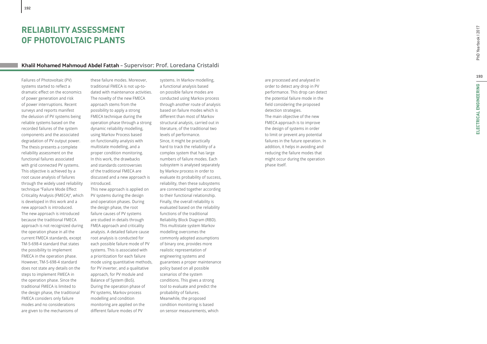# **RELIABILITY ASSESSMENT OF PHOTOVOLTAIC PLANTS**

## **Khalil Mohamed Mahmoud Abdel Fattah – Supervisor: Prof. Loredana Cristaldi**

Failures of Photovoltaic (PV) systems started to reflect a dramatic e ff ect on the economics of power generation and risk of power interruptions. Recent surveys and reports manifest the delusion of PV systems being reliable systems based on the recorded failures of the system components and the associated degradation of PV output power. The thesis presents a complete reliability assessment on the functional failures associated with grid connected PV systems. This objective is achieved by a root cause analysis of failures through the widely used reliability technique "Failure Mode Effect Criticality Analysis (FMECA)", which is developed in this work and a new approach is introduced. The new approach is introduced because the traditional FMECA approach is not recognized during the operation phase in all the current FMECA standards, except TM-5-698-4 standard that states the possibility to implement FMECA in the operation phase. However, TM-5-698-4 standard does not state any details on the steps to implement FMECA in the operation phase. Since the traditional FMECA is limited to the design phase, the traditional FMECA considers only failure modes and no considerations are given to the mechanisms of

these failure modes. Moreover, traditional FMECA is not up-todated with maintenance activities. The novelty of the new FMECA approach stems from the possibility to apply a strong FMECA technique during the operation phase through a strong dynamic reliability modelling, using Markov Process based on functionality analysis with multistate modelling, and a proper condition monitoring. In this work, the drawbacks and standards controversies of the traditional FMECA are discussed and a new approach is introduced.

This new approach is applied on PV systems during the design and operation phases. During the design phase, the root failure causes of PV systems are studied in details through FMEA approach and criticality analysis. A detailed failure cause root analysis is conducted for each possible failure mode of PV systems. This is associated with a prioritization for each failure mode using quantitative methods, for PV inverter, and a qualitative approach, for PV module and Balance of System (BoS). During the operation phase of PV systems, Markov process modelling and condition monitoring are applied on the di ff erent failure modes of PV

systems. In Markov modelling, a functional analysis based on possible failure modes are conducted using Markov process through another route of analysis based on failure modes which is di ff erent than most of Markov structural analysis, carried out in literature, of the traditional two levels of performance. Since, it might be practically hard to track the reliability of a complex system that has large numbers of failure modes. Each subsystem is analysed separately by Markov process in order to evaluate its probability of success, reliability, then these subsystems are connected together according to their functional relationship. Finally, the overall reliability is evaluated based on the reliability functions of the traditional Reliability Block Diagram (RBD). This multistate system Markov modelling overcomes the commonly adopted assumptions of binary one, provides more realistic representation of engineering systems and guarantees a proper maintenance policy based on all possible scenarios of the system conditions. This gives a strong tool to evaluate and predict the probability of failures. Meanwhile, the proposed condition monitoring is based on sensor measurements, which

are processed and analysed in order to detect any drop in PV performance. This drop can detect the potential failure mode in the field considering the proposed detection strategies. The main objective of the new FMECA approach is to improve the design of systems in order to limit or prevent any potential failures in the future operation. In addition, it helps in avoiding and reducing the failure modes that might occur during the operation phase itself.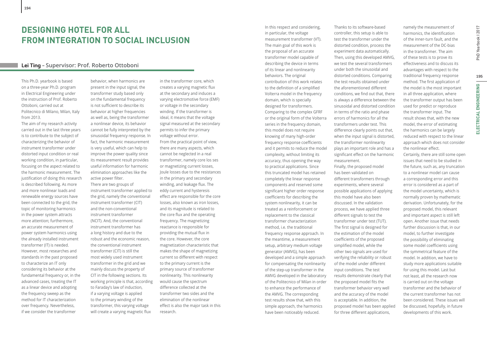### **Lei Ting – Supervisor: Prof. Roberto Ottoboni**

This Ph.D. yearbook is based on a three-year Ph.D. program in Electrical Engineering under the instruction of Prof. Roberto Ottoboni, carried out at Politecnico di Milano, Milan, Italy from 2013.

**194**

The aim of my research activity carried out in the last three years is to contribute to the subject of characterizing the behavior of instrument transformer under distorted input condition or real working condition, in particular, focusing on the aspect related to the harmonic measurement. The justification of doing this research is described following. As more and more nonlinear loads and renewable energy sources have been connected to the grid, the topic of monitoring harmonics in the power system attracts more attention; furthermore, an accurate measurement of power system harmonics using the already installed instrument transformer (IT) is needed. However, most researches and standards in the past proposed to characterize an IT only considering its behavior at the fundamental frequency or, in the advanced cases, treating the IT as a linear device and adopting the frequency sweep as the method for IT characterization over frequency. Nevertheless, if we consider the transformer

behavior, when harmonics are present in the input signal, the transformer study based only on the fundamental frequency is not sufficient to describe its behavior at higher frequencies as well as, being the transformer a nonlinear device, its behavior cannot be fully interpreted by the sinusoidal frequency response. In fact, the harmonic measurement is very useful, which can help to improve the power quality since its measurement result provides useful information for harmonic elimination approaches like the active power filter. There are two groups of instrument transformer applied to the grid, namely the conventional instrument transformer (CIT) and the non-conventional instrument transformer (NCIT). And, the conventional instrument transformer has a long history and due to the robust and the economic reason, the conventional instrument transformer (CIT) is still the most widely used instrument transformer in the grid and we mainly discuss the property of CIT in the following sections. Its working principle is that, according to Faraday's law of induction, if a varying voltage is applied to the primary winding of the transformer, this varying voltage will create a varying magnetic flux

in the transformer core, which creates a varying magnetic flux at the secondary and induces a varying electromotive force (EMF) or voltage in the secondary winding. If the transformer is ideal, it means that the voltage signal measured at the secondary permits to infer the primary voltage without error. From the practical point of view, there are many aspects, which cannot be neglected in a real transformer, namely core los ses or magnetizing current losses, Joule losses due to the resistances in the primary and secondary winding, and leakage flux. The eddy current and hysteresis effect are responsible for the core losses, also known as iron losses, and its magnitude is related to the core flux and the operating frequency. The magnetizing reactance is responsible for providing the mutual flux in the core. However, the core magnetization characteristic that makes the shape of magnetizing current so different with respect to the primary current is the primary source of transformer nonlinearity. This nonlinearity would cause the spectrum difference collected at the transformer two sides and the elimination of the nonlinear effect is also the major task in this research.

In this respect and considering, in particular, the voltage measurement transformer (VT). The main goal of this work is the proposal of an accurate transformer model capable of describing the device in terms of its linear and nonlinearity behaviors. The original contribution of this work relates to the definition of a simplified Volterra model in the frequency domain, which is specially designed for transformers. Comparing to the complex GFRF or the original form of the Volterra series in the frequency domain, this model does not require knowing of many high-order frequency response coefficients and it permits to reduce the model complexity, without limiting its accuracy, thus opening the way to practical applications. Since this truncated model has retained completely the linear response components and reserved some significant higher order response coefficients for describing the system nonlinearity, it can be treated as a reinforcement or replacement to the classical transformer characterization method, i.e. the traditional frequency response approach. In the meantime, a measurement setup, arbitrary medium voltage generator (AMVG), has been developed and a simple approach for compensating the nonlinearity of the step-up transformer in the AMVG developed in the laboratory of the Politecnico of Milan in order to enhance the performance of the AMVG. The corresponding test results show that, with this simple approach, the harmonics have been noticeably reduced.

Thanks to its software-based controller, this setup is able to test the transformer under the distorted condition, process the experiment data automatically. Then, using this developed AMVG, we test the several transformers under both the sinusoidal and distorted conditions. Comparing the test results obtained under the aforementioned different conditions, we find out that, there is always a difference between the sinusoidal and distorted condition in terms of the ratio and phase errors of harmonics for all the transformers under test. This difference clearly points out that, when the input signal is distorted, the transformer nonlinearity plays an important role and has a significant effect on the harmonic measurement. Finally, the proposed model has been validated on different transformers through experiments, where several possible applications of applying this model have also been discussed. In the validation process, we have applied three different signals to test the transformer under test (TUT). The first signal is designed for the estimation of the model coefficients of the proposed simplified model, while the other two signals are used for verifying the reliability or robust of the model under different input conditions. The test results demonstrate clearly that the proposed model fits the transformer behavior very well and the accuracy of the model is acceptable. In addition, the proposed model has been applied for three different applications,

namely the measurement of harmonics, the identification of the inner-turn fault, and the measurement of the DC-bias in the transformer. The aim of these tests is to prove its effectiveness and to discuss its advantages with respect to the traditional frequency response method. The first application of the model is the most important in all three application, where the transformer output has been used for predict or reproduce the transformer input. The result shows that, with the new model, the error of estimating the harmonics can be largely reduced with respect to the linear approach which does not consider the nonlinear effect.

Certainly, there are still some open issues that need to be studied in the future, such as, any truncation to a nonlinear model can cause a corresponding error and this error is considered as a part of the model uncertainty, which is normally proven by mathematic derivation. Unfortunately, for the proposed model, this relevant and important aspect is still left open. Another issue that needs further discussion is that, in our model, to further investigate the possibility of eliminating some model coefficients using the symmetrical feature of the model. In addition, we have to study more applications suitable for using this model. Last but not least, all the research now is carried out on the voltage transformer and the behavior of the current transformer has not been considered. These issues will be discussed, hopefully, in future developments of this work.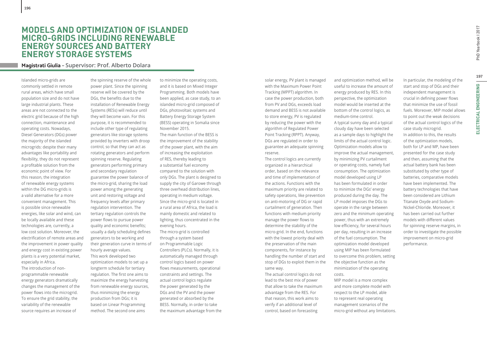# **MODELS AND OPTIMIZATION OF ISLANDED MICRO-GRIDS INCLUDING RENEWABLE ENERGY SOURCES AND BATTERY ENERGY STORAGE SYSTEMS**

## **Magistrati Giulia – Supervisor: Prof. Alberto Dolara**

Islanded micro-grids are commonly settled in remote rural areas, which have small population size and do not have large industrial plants. These areas are not connected to the electric grid because of the high connection, maintenance and operating costs. Nowadays, Diesel Generators (DGs) power the majority of the islanded microgrids: despite their many advantages like portability and flexibility, they do not represent a profitable solution from the economic point of view. For this reason, the integration of renewable energy systems within the DG micro-grids is a valid alternative for a more convenient management. This is possible since renewable energies, like solar and wind, can be locally available and these technologies are, currently, a low cost solution. Moreover, the electrification of remote areas and the improvement in power quality and energy cost in existing power plants is a very potential market, especially in Africa. The introduction of nonprogrammable renewable energy generators dramatically changes the management of the

power flows into the microgrid. To ensure the grid stability, the variability of the renewable source requires an increase of

the spinning reserve of the whole power plant. Since the spinning reserve will be covered by the DGs, the benefits due to the installation of Renewable Energy Systems (RESs) will reduce until they will become vain. For this purpose, it is recommended to include other type of regulating generators like storage systems provided by inverters with droop control, so that they can act as rotating generators and perform spinning reserve. Regulating generators performing primary and secondary regulation guarantee the power balance of the micro-grid, sharing the load power among the generating unit and restoring voltage and frequency levels after primary regulation intervention. The tertiary regulation controls the power flows to pursue power quality and economic benefits; usually a daily scheduling defines generators to be working and their generation curve in terms of hourly average values. This work developed two optimization models to set up a longterm schedule for tertiary regulation. The first one aims to maximize the energy harvesting from renewable energy sources, thus minimizing the energy production from DGs; it is based on Linear Programming method. The second one aims

to minimize the operating costs, and it is based on Mixed Integer Programming. Both models have been applied, as case study, to an islanded micro-grid composed of DGs, photovoltaic systems and Battery Energy Storage System (BESS) operating in Somalia since November 2015. The main function of the BESS is the improvement of the stability of the power plant, with the aim of increasing the exploitation of RES, thereby leading to a substantial fuel economy compared to the solution with only DGs. The plant is designed to supply the city of Garowe through three overhead distribution lines, operating in medium voltage. Since the micro-grid is located in a rural area of Africa, the load is mainly domestic and related to lighting, thus concentrated in the

evening hours. The micro-grid is controlled through a system based on Programmable Logic Controllers (PLCs). Normally, it is automatically managed through control logics based on power flows measurements, operational constraints and settings. The actual control logics regulate the power generated by the DGs and the PV and the power generated or absorbed by the BESS. Normally, in order to take the maximum advantage from the solar energy, PV plant is managed with the Maximum Power Point Tracking (MPPT) algorithm. In case the power production, both from PV and DGs, exceeds load demand and BESS is not available to store energy, PV is regulated by reducing the power with the algorithm of Regulated Power Point Tracking (RPPT). Anyway, DGs are regulated in order to guarantee an adequate spinning reserve.

The control logics are currently organized in a hierarchical order, based on the relevance and time of implementation of the actions. Functions with the maximum priority are related to safety operations, like prevention on anti-motoring of DG or rapid curtailment of generation. Then functions with medium priority manage the power flows to determine the stability of the micro-grid. In the end, functions with the lowest priority deal with the preservation of the main components, for instance by handling the number of start and stop of DGs to exploit them in the same way.

The actual control logics do not lead to the best mix of power that allow to take the maximum advantage from the RES. For that reason, this work aims to verify if an additional level of control, based on forecasting

and optimization method, will be useful to increase the amount of energy produced by RES. In this perspective, the optimization model would be inserted at the bottom of the control logics, as medium-time control. A typical sunny day and a typical cloudy day have been selected as a sample days to highlight the limits of the actual control logic. Optimization models allow to

improve the actual management, by minimizing PV curtailment or operating costs, namely fuel consumption. The optimization model developed using LP has been formulated in order to minimize the DGs' energy produced during the day. The LP model imposes the DGs to operate in the range between zero and the minimum operating power, thus with an extremely low efficiency, for several hours per day, resulting in an increase of the fuel consumption. The optimization model developed using MIP has been formulated to overcome this problem, setting the objective function as the minimization of the operating costs.

MIP model is a more complex and more complete model with respect to the LP model, able to represent real operating management scenarios of the micro-grid without any limitations.

In particular, the modeling of the start and stop of DGs and their independent management is crucial in defining power flows that minimize the use of fossil fuels. Moreover, MIP model allows to point out the weak decisions of the actual control logics of the case study microgrid. In addition to this, the results of the optimization models, both for LP and MP, have been presented for the case study and then, assuming that the actual battery bank has been substituted by other type of batteries, comparative models have been implemented. The battery technologies that have been considered are Lithium Titanate Oxyde and Sodium-Nickel-Chloride. Moreover, it has been carried out further models with different values for spinning reserve margins, in order to investigate the possible improvement on micro-grid performance.

197

**ELECTRICAL ENGINEERING**

ELECTRICAL ENGINEERING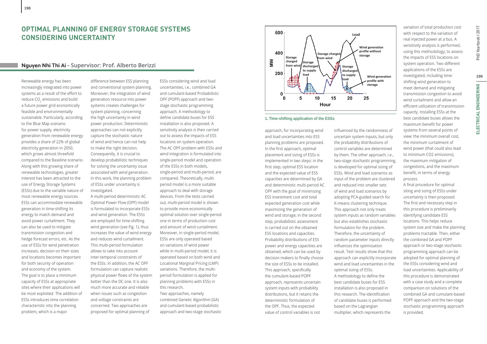# **Nguyen Nhi Thi Ai – Supervisor: Prof. Alberto Berizzi**

Renewable energy has been increasingly integrated into power systems as a result of the effort to reduce CO<sub>2</sub> emissions and build a future power grid economically feasible and environmentally sustainable. Particularly, according to the Blue Map scenario for power supply, electricity generation from renewable energy provides a share of 22% of global electricity generation in 2050, which grows almost threefold compared to the Baseline scenario. Along with this growing share of renewable technologies, greater interest has been attracted to the use of Energy Storage Systems (ESSs) due to the variable nature of most renewable energy sources. ESSs can accommodate renewable generation in time-shifting its energy to match demand and avoid power curtailment. They can also be used to mitigate transmission congestion and hedge forecast errors, etc. As the use of ESSs for wind penetration increases, decision on their sizes and locations becomes important for both security of operation and economy of the system. The goal is to place a minimum capacity of ESSs at appropriate sites where their applications will be most exploited. The addition of ESSs introduces time correlation characteristic into the planning problem, which is a major

**198**

difference between ESS planning and conventional system planning. Moreover, the integration of wind generation resource into power systems creates challenges for system planning, concerning the high uncertainty in wind power production. Deterministic approaches can not explicitly capture the stochastic nature of wind and hence can not help to make the right decision. Consequently, it is crucial to develop probabilistic techniques for solving the uncertainty issue associated with wind generation. In this work, the planning problem of ESSs under uncertainty is investigated.

A multi-period deterministic AC Optimal Power Flow (OPF) model is formulated to incorporate ESSs and wind generation. The ESSs are employed for time-shifting wind generation (see Fig. 1), thus increases the value of wind energy and reduces wind curtailment. This multi-period formulation allows to take into account inter-temporal constraints of the ESSs. In addition, the AC OPF formulation can capture realistic physical power flows of the system better than the DC one. It is also much more accurate and reliable when issues such as congestion and voltage constraints are concerned. Two approaches are proposed for optimal planning of

ESSs considering wind and load uncertainties, i.e., combined GA and cumulant-based Probabilistic OPF (POPF) approach and twostage stochastic programming approach. A methodology to define candidate buses for ESS installation is also proposed. A sensitivity analysis is then carried out to assess the impacts of ESS locations on system operation. The AC OPF problem with ESSs and wind integration is formulated into single-period model and operation of the ESSs in both models, single-period and multi-period, are compared. Theoretically, multiperiod model is a more suitable approach to deal with storage devices. From the tests carried out, multi-period model is shown to provide more economically optimal solution over single-period one in terms of production cost and amount of wind curtailment. Moreover, in single-period model, ESSs are only operated based on variations of wind power while in multi-period model, it is operated based on both wind and Locational Marginal Pricing (LMP) variations. Therefore, the multiperiod formulation is applied for planning problems with ESSs in this research. Two approaches, namely

combined Genetic Algorithm (GA) and cumulant-based probabilistic approach and two-stage stochastic



**1. Time-shifting application of the ESSs**

approach, for incorporating wind and load uncertainties into ESS planning problems are proposed. In the first approach, optimal placement and sizing of ESSs is implemented in two steps: in the first step, optimal ESS location and the expected value of ESS capacities are determined by GA and deterministic multi-period AC OPF with the goal of minimizing ESS investment cost and total expected generation cost while maximizing the generation of wind and storage; in the second step, probabilistic assessment is carried out on the obtained ESS locations and capacities. Probability distributions of ESS power and energy capacities are obtained, which can be used by decision makers to finally choose the size of ESSs to be installed. This approach, specifically the cumulant-based POPF approach, represents uncertain system inputs with probability distributions, but it retains the deterministic formulation of the OPF. Thus, the expected value of control variables is not

influenced by the randomness of uncertain system inputs, but only the probability distributions of control variables are determined by them. The other approach, i.e., two-stage stochastic programming, is developed for optimal sizing of ESSs. Wind and load scenarios as input of the problem are clustered and reduced into smaller sets of wind and load scenarios by adopting PCA-guided search for K-means clustering technique. This approach not only treats system inputs as random variables but also establishes stochastic formulation for the problem. Therefore, the uncertainty of random parameter inputs directly influences the optimization result. Test results show that this approach can explicitly incorporate wind and load uncertainties in the optimal sizing of ESSs. A methodology to define the best candidate buses for ESS installation is also proposed in this research. The identification of candidate buses is performed based on the Lagrangian multiplier, which represents the

variation of total production cost with respect to the variation of real injected power at a bus. A sensitivity analysis is performed, using this methodology, to assess the impacts of ESS locations on system operation. Two different applications of the ESSs are investigated, including timeshifting wind generation to meet demand and mitigating transmission congestion to avoid wind curtailment and allow an efficient utilization of transmission capacity. Installing ESSs at the best candidate buses allows the maximum benefit for power systems from several points of view: the minimum overall cost, the minimum curtailment of wind power (that could also lead to minimum CO2 emissions), the maximum mitigation of congestions, and the maximum benefit, in terms of energy process.

A final procedure for optimal siting and sizing of ESSs under uncertainty is then proposed. The first and necessary step in this procedure is preliminarily identifying candidate ESS locations. This helps reduce system size and make the planning problems tractable. Then, either the combined GA and POPF approach or two-stage stochastic programming approach can be adopted for optimal planning of the ESSs considering wind and load uncertainties. Applicability of this procedure is demonstrated with a case study and a complete comparison on solutions of the combined GA and cumulant-based POPF approach and the two-stage stochastic programming approach is provided.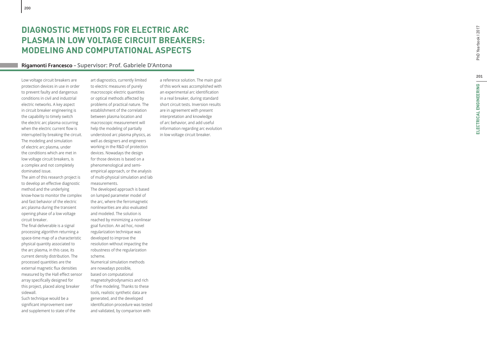# **Rigamonti Francesco – Supervisor: Prof. Gabriele D'Antona**

Low voltage circuit breakers are protection devices in use in order to prevent faulty and dangerous conditions in civil and industrial electric networks. A key aspect in circuit breaker engineering is the capability to timely switch the electric arc plasma occurring when the electric current flow is interrupted by breaking the circuit. The modeling and simulation of electric arc plasma, under the conditions which are met in low voltage circuit breakers, is a complex and not completely dominated issue.

The aim of this research project is to develop an effective diagnostic method and the underlying know-how to monitor the complex and fast behavior of the electric arc plasma during the transient opening phase of a low voltage circuit breaker.

The fi nal deliverable is a signal processing algorithm returning a space-time map of a characteristic physical quantity associated to the arc plasma, in this case, its current density distribution. The processed quantities are the external magnetic flux densities measured by the Hall effect sensor array speci fi cally designed for this project, placed along breaker sidewall.

Such technique would be a signi fi cant improvement over and supplement to state of the

art diagnostics, currently limited to electric measures of purely macroscopic electric quantities or optical methods a ff ected by problems of practical nature. The establishment of the correlation between plasma location and macroscopic measurement will help the modeling of partially understood arc plasma physics, as well as designers and engineers working in the R&D of protection devices. Nowadays the design for those devices is based on a phenomenological and semiempirical approach, or the analysis of multi-physical simulation and lab measurements.

The developed approach is based on lumped parameter model of the arc, where the ferromagnetic nonlinearities are also evaluated and modeled. The solution is reached by minimizing a nonlinear goal function. An ad hoc, novel regularization technique was developed to improve the resolution without impacting the robustness of the regularization scheme.

Numerical simulation methods are nowadays possible, based on computational magnetohydrodynamics and rich of fine modeling. Thanks to these tools, realistic synthetic data are generated, and the developed identi fi cation procedure was tested and validated, by comparison with

a reference solution. The main goal of this work was accomplished with an experimental arc identification in a real breaker, during standard short circuit tests. Inversion results are in agreement with present interpretation and knowledge of arc behavior, and add useful information regarding arc evolution in low voltage circuit breaker.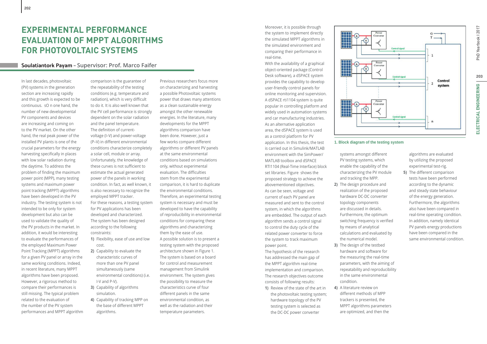# **EXPERIMENTAL PERFORMANCE EVALUATION OF MPPT ALGORITHMS FOR PHOTOVOLTAIC SYSTEMS**

### **Soulatiantork Payam – Supervisor: Prof. Marco Faifer**

In last decades, photovoltaic (PV) systems in the generation section are increasing rapidly and this growth is expected to be continuous. sO n one hand, the number of new developmental PV components and devices are increasing and coming on to the PV market. On the other hand, the real peak power of the installed PV plants is one of the crucial parameters for the energy harvesting specifically in places with low solar radiation during the daytime. To address the problem of finding the maximum power point (MPP), many testing systems and maximum power point tracking (MPPT) algorithms have been developed in the PV industry. The testing system is not intended to be only for system development but also can be used to validate the quality of the PV products in the market. In addition, it would be interesting to evaluate the performances of the employed Maximum Power Point Tracking (MPPT) algorithms for a given PV panel or array in the same working conditions. Indeed, in recent literature, many MPPT algorithms have been proposed. However, a rigorous method to compare their performances is still missing. The typical problem related to the evaluation of the number of the PV system performances and MPPT algorithm

comparison is the guarantee of the repeatability of the testing conditions (e.g. temperature and radiation), which is very difficult to do it. It is also well known that the PV cell performance is strongly dependent on the solar radiation and the panel temperature. The definition of currentvoltage (I–V) and power-voltage (P–V) in different environmental conditions characterize completely a solar cell, module or array. Unfortunately, the knowledge of these curves is not sufficient to estimate the actual generated power of the panels in working condition. In fact, as well known, it is also necessary to recognize the employed MPPT tracker. For these reasons, a testing system for PV applications has been developed and characterized. The system has been designed according to the following constraints: **1)** Flexibility, ease of use and low cost. **2)** Capability to evaluate the

- characteristic curves of more than one PV panel simultaneously (same environmental conditions) (i.e. I-V and P-V).
- **3)** Capability of algorithms simulation.
- **4)** Capability of tracking MPP on the base of different MPPT algorithms.

Previous researchers focus more on characterizing and harvesting a possible Photovoltaic systems power that draws many attentions as a clean sustainable energy amongst the other renewable energies. In the literature, many developments for the MPPT algorithms comparison have been done. However, just a few works compare different algorithms or different PV panels at the same environmental conditions based on simulations only, without experimental evaluation. The difficulties stem from the experimental comparison, it is hard to duplicate the environmental conditions. Therefore, an experimental testing system is necessary and must be developed to have the capability of reproducibility in environmental conditions for comparing these algorithms and characterizing them by the ease of use. A possible solution is to present a testing system with the proposed architecture shown in Figure 1. The system is based on a board for control and measurement management from Simulink environment. The system gives the possibility to measure the characteristics curve of four different panels in the same environmental condition, as well as the radiation and their temperature parameters.

Moreover, it is possible through the system to implement directly the simulated MPPT algorithms in the simulated environment and comparing their performance in real-time.

With the availability of a graphical object-oriented package (Control Desk software), a dSPACE system provides the capability to develop user-friendly control panels for online monitoring and supervision. A dSPACE rti1104 system is quite popular in controlling platform and widely used in automation systems and car manufacturing industries. As an alternative application area, the dSPACE system is used as a control platform for PV application. In this thesis, the test is carried out in Simulink/MATLAB environment with the SimPower/ MATLAB toolbox and dSPACE RTI1104 (Real-Time Interface) block set libraries. Figure shows the proposed strategy to achieve the abovementioned objectives. As can be seen, voltage and current of each PV panel are measured and sent to the control system, in which the algorithms are embedded. The output of each algorithm sends a control signal to control the duty cycle of the related power converter to force the system to track maximum power point.

The hypothesis of the research has addressed the main gap of the MPPT algorithm real-time implementation and comparison. The research objectives outcome consists of following results:

**1)** Review of the state of the art in the photovoltaic testing system; hardware topology of the PV testing system is selected as the DC-DC power converter



### **1. Block diagram of the testing system**

systems amongst different PV testing systems, which enable the capability of the characterizing the PV module and tracking the MPP.

- **2)** The design procedure and realization of the proposed hardware DC-DC converter topology components are discussed in details. Furthermore, the optimum switching frequency is verified by means of analytical calculations and evaluated by the numerical model.
- **3)** The design of the testbed hardware and software for the measuring the real-time parameters, with the aiming of repeatability and reproducibility in the same environmental condition.
- **4)** A literature review on different methods of MPP trackers is presented, the MPPT algorithms parameters are optimized, and then the

algorithms are evaluated by utilizing the proposed experimental test-rig.

**5)** The different comparison tests have been performed according to the dynamic and steady state behaviour of the energy generation. Furthermore, the algorithms also have been compared in real-time operating condition. In addition, namely identical PV panels energy productions have been compared in the same environmental condition.